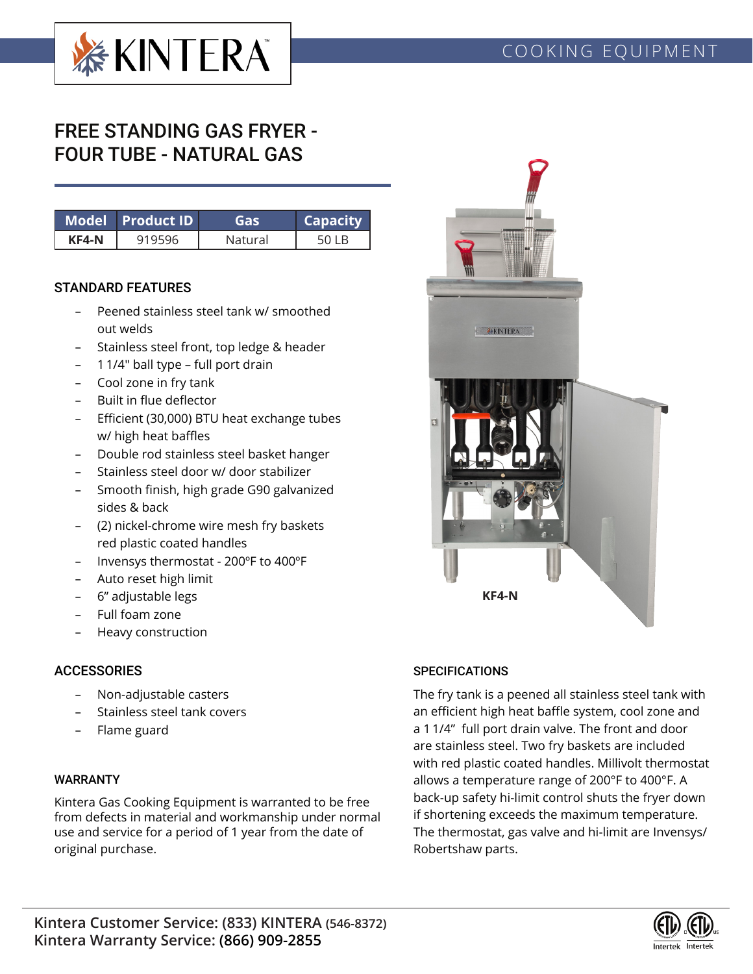

# FREE STANDING GAS FRYER - FOUR TUBE - NATURAL GAS

|       | Model Product ID | ias     | <b>Capacity</b> |
|-------|------------------|---------|-----------------|
| KF4-N |                  | Natural |                 |

#### STANDARD FEATURES

- Peened stainless steel tank w/ smoothed out welds
- Stainless steel front, top ledge & header
- 1 1/4" ball type full port drain
- Cool zone in fry tank
- Built in flue deflector
- Efficient (30,000) BTU heat exchange tubes w/ high heat baffles
- Double rod stainless steel basket hanger
- Stainless steel door w/ door stabilizer
- Smooth finish, high grade G90 galvanized sides & back
- (2) nickel-chrome wire mesh fry baskets red plastic coated handles
- Invensys thermostat 200ºF to 400ºF
- Auto reset high limit
- 6" adjustable legs
- Full foam zone
- Heavy construction

## **ACCESSORIES**

- Non-adjustable casters
- Stainless steel tank covers
- Flame guard

### WARRANTY

Kintera Gas Cooking Equipment is warranted to be free from defects in material and workmanship under normal use and service for a period of 1 year from the date of original purchase.



### **SPECIFICATIONS**

The fry tank is a peened all stainless steel tank with an efficient high heat baffle system, cool zone and a 1 1/4" full port drain valve. The front and door are stainless steel. Two fry baskets are included with red plastic coated handles. Millivolt thermostat allows a temperature range of 200°F to 400°F. A back-up safety hi-limit control shuts the fryer down if shortening exceeds the maximum temperature. The thermostat, gas valve and hi-limit are Invensys/ Robertshaw parts.